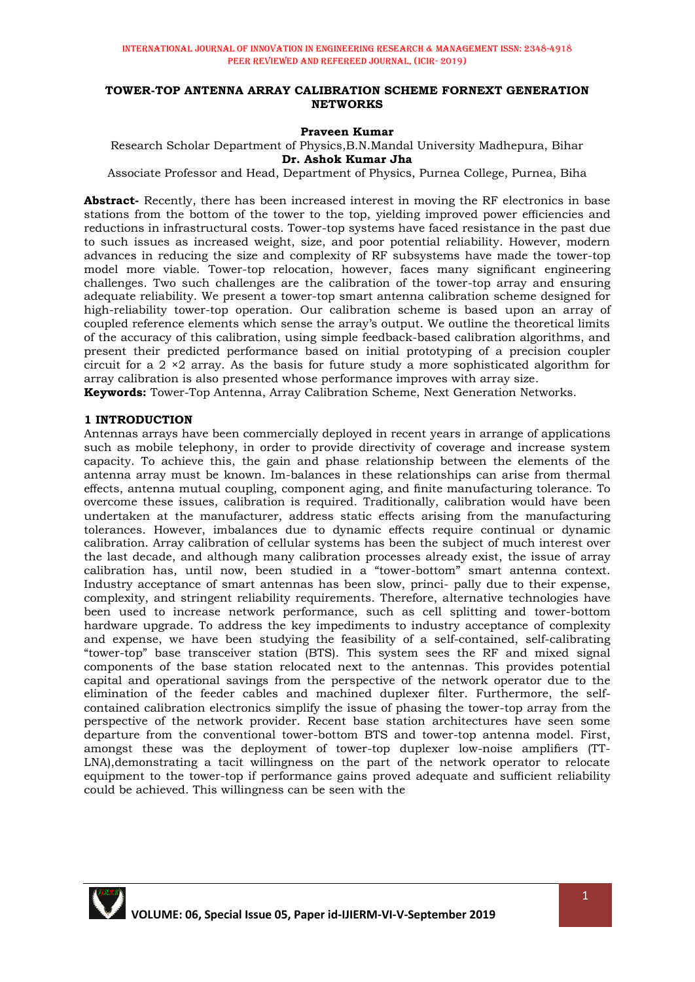### **TOWER-TOP ANTENNA ARRAY CALIBRATION SCHEME FORNEXT GENERATION NETWORKS**

## **Praveen Kumar**

Research Scholar Department of Physics,B.N.Mandal University Madhepura, Bihar **Dr. Ashok Kumar Jha**

Associate Professor and Head, Department of Physics, Purnea College, Purnea, Biha

**Abstract-** Recently, there has been increased interest in moving the RF electronics in base stations from the bottom of the tower to the top, yielding improved power efficiencies and reductions in infrastructural costs. Tower-top systems have faced resistance in the past due to such issues as increased weight, size, and poor potential reliability. However, modern advances in reducing the size and complexity of RF subsystems have made the tower-top model more viable. Tower-top relocation, however, faces many significant engineering challenges. Two such challenges are the calibration of the tower-top array and ensuring adequate reliability. We present a tower-top smart antenna calibration scheme designed for high-reliability tower-top operation. Our calibration scheme is based upon an array of coupled reference elements which sense the array"s output. We outline the theoretical limits of the accuracy of this calibration, using simple feedback-based calibration algorithms, and present their predicted performance based on initial prototyping of a precision coupler circuit for a  $2 \times 2$  array. As the basis for future study a more sophisticated algorithm for array calibration is also presented whose performance improves with array size.

**Keywords:** Tower-Top Antenna, Array Calibration Scheme, Next Generation Networks.

## **1 INTRODUCTION**

Antennas arrays have been commercially deployed in recent years in arrange of applications such as mobile telephony, in order to provide directivity of coverage and increase system capacity. To achieve this, the gain and phase relationship between the elements of the antenna array must be known. Im-balances in these relationships can arise from thermal effects, antenna mutual coupling, component aging, and finite manufacturing tolerance. To overcome these issues, calibration is required. Traditionally, calibration would have been undertaken at the manufacturer, address static effects arising from the manufacturing tolerances. However, imbalances due to dynamic effects require continual or dynamic calibration. Array calibration of cellular systems has been the subject of much interest over the last decade, and although many calibration processes already exist, the issue of array calibration has, until now, been studied in a "tower-bottom" smart antenna context. Industry acceptance of smart antennas has been slow, princi- pally due to their expense, complexity, and stringent reliability requirements. Therefore, alternative technologies have been used to increase network performance, such as cell splitting and tower-bottom hardware upgrade. To address the key impediments to industry acceptance of complexity and expense, we have been studying the feasibility of a self-contained, self-calibrating "tower-top" base transceiver station (BTS). This system sees the RF and mixed signal components of the base station relocated next to the antennas. This provides potential capital and operational savings from the perspective of the network operator due to the elimination of the feeder cables and machined duplexer filter. Furthermore, the selfcontained calibration electronics simplify the issue of phasing the tower-top array from the perspective of the network provider. Recent base station architectures have seen some departure from the conventional tower-bottom BTS and tower-top antenna model. First, amongst these was the deployment of tower-top duplexer low-noise amplifiers (TT-LNA),demonstrating a tacit willingness on the part of the network operator to relocate equipment to the tower-top if performance gains proved adequate and sufficient reliability could be achieved. This willingness can be seen with the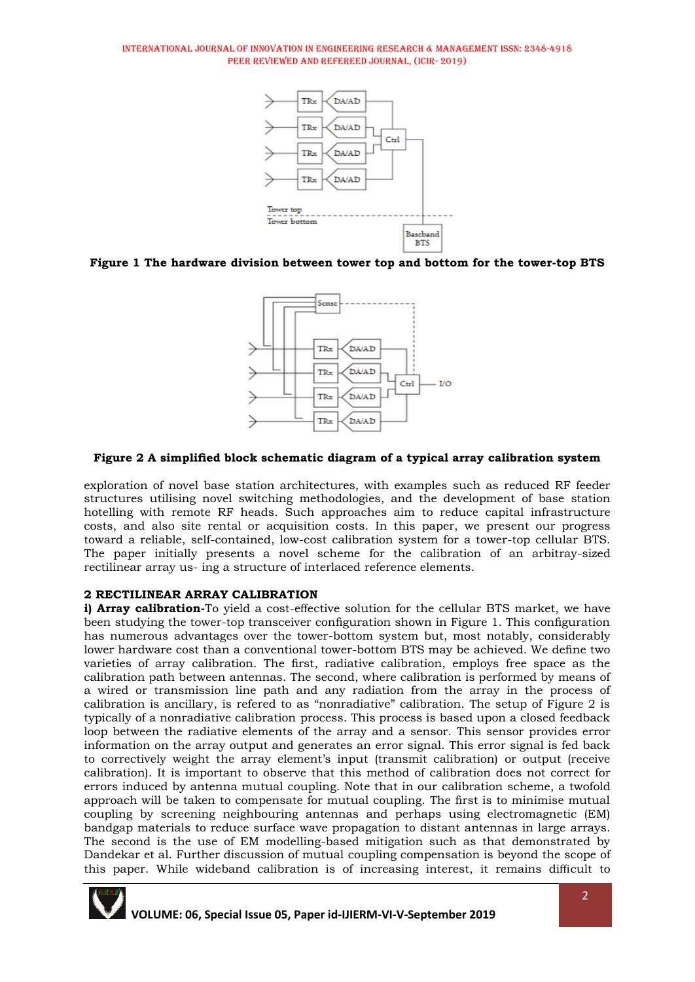

**Figure 1 The hardware division between tower top and bottom for the tower-top BTS**



## **Figure 2 A simplified block schematic diagram of a typical array calibration system**

exploration of novel base station architectures, with examples such as reduced RF feeder structures utilising novel switching methodologies, and the development of base station hotelling with remote RF heads. Such approaches aim to reduce capital infrastructure costs, and also site rental or acquisition costs. In this paper, we present our progress toward a reliable, self-contained, low-cost calibration system for a tower-top cellular BTS. The paper initially presents a novel scheme for the calibration of an arbitray-sized rectilinear array us- ing a structure of interlaced reference elements.

# **2 RECTILINEAR ARRAY CALIBRATION**

**i) Array calibration-**To yield a cost-effective solution for the cellular BTS market, we have been studying the tower-top transceiver configuration shown in Figure 1. This configuration has numerous advantages over the tower-bottom system but, most notably, considerably lower hardware cost than a conventional tower-bottom BTS may be achieved. We define two varieties of array calibration. The first, radiative calibration, employs free space as the calibration path between antennas. The second, where calibration is performed by means of a wired or transmission line path and any radiation from the array in the process of calibration is ancillary, is refered to as "nonradiative" calibration. The setup of Figure 2 is typically of a nonradiative calibration process. This process is based upon a closed feedback loop between the radiative elements of the array and a sensor. This sensor provides error information on the array output and generates an error signal. This error signal is fed back to correctively weight the array element"s input (transmit calibration) or output (receive calibration). It is important to observe that this method of calibration does not correct for errors induced by antenna mutual coupling. Note that in our calibration scheme, a twofold approach will be taken to compensate for mutual coupling. The first is to minimise mutual coupling by screening neighbouring antennas and perhaps using electromagnetic (EM) bandgap materials to reduce surface wave propagation to distant antennas in large arrays. The second is the use of EM modelling-based mitigation such as that demonstrated by Dandekar et al. Further discussion of mutual coupling compensation is beyond the scope of this paper. While wideband calibration is of increasing interest, it remains difficult to

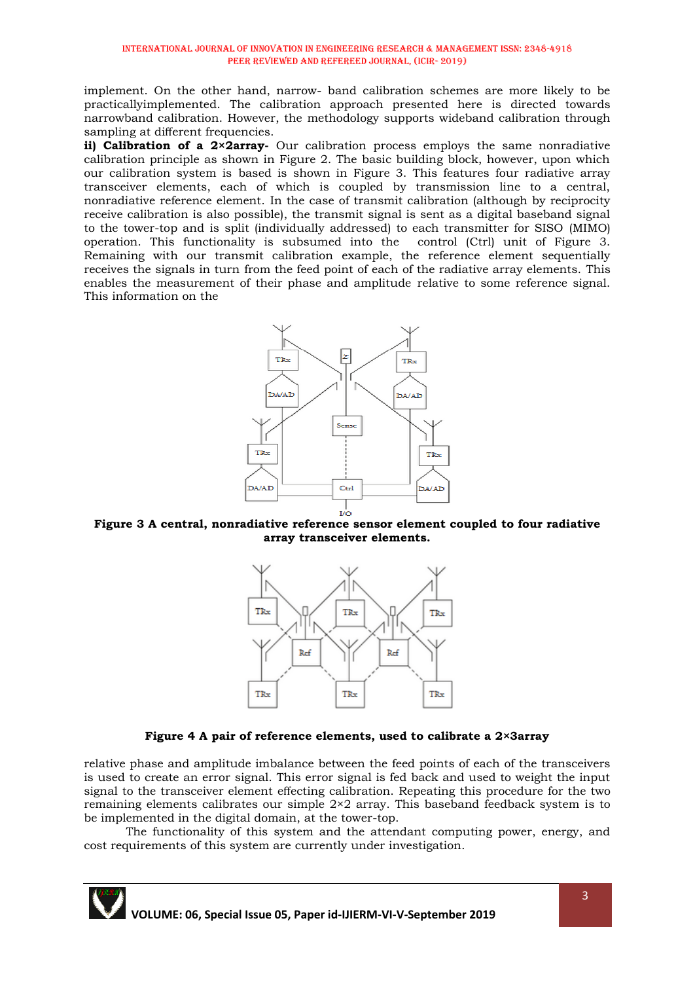implement. On the other hand, narrow- band calibration schemes are more likely to be practicallyimplemented. The calibration approach presented here is directed towards narrowband calibration. However, the methodology supports wideband calibration through sampling at different frequencies.

**ii) Calibration of a 2×2array-** Our calibration process employs the same nonradiative calibration principle as shown in Figure 2. The basic building block, however, upon which our calibration system is based is shown in Figure 3. This features four radiative array transceiver elements, each of which is coupled by transmission line to a central, nonradiative reference element. In the case of transmit calibration (although by reciprocity receive calibration is also possible), the transmit signal is sent as a digital baseband signal to the tower-top and is split (individually addressed) to each transmitter for SISO (MIMO) operation. This functionality is subsumed into thecontrol (Ctrl) unit of Figure 3. Remaining with our transmit calibration example, the reference element sequentially receives the signals in turn from the feed point of each of the radiative array elements. This enables the measurement of their phase and amplitude relative to some reference signal. This information on the



**Figure 3 A central, nonradiative reference sensor element coupled to four radiative array transceiver elements.**



# **Figure 4 A pair of reference elements, used to calibrate a 2×3array**

relative phase and amplitude imbalance between the feed points of each of the transceivers is used to create an error signal. This error signal is fed back and used to weight the input signal to the transceiver element effecting calibration. Repeating this procedure for the two remaining elements calibrates our simple 2×2 array. This baseband feedback system is to be implemented in the digital domain, at the tower-top.

The functionality of this system and the attendant computing power, energy, and cost requirements of this system are currently under investigation.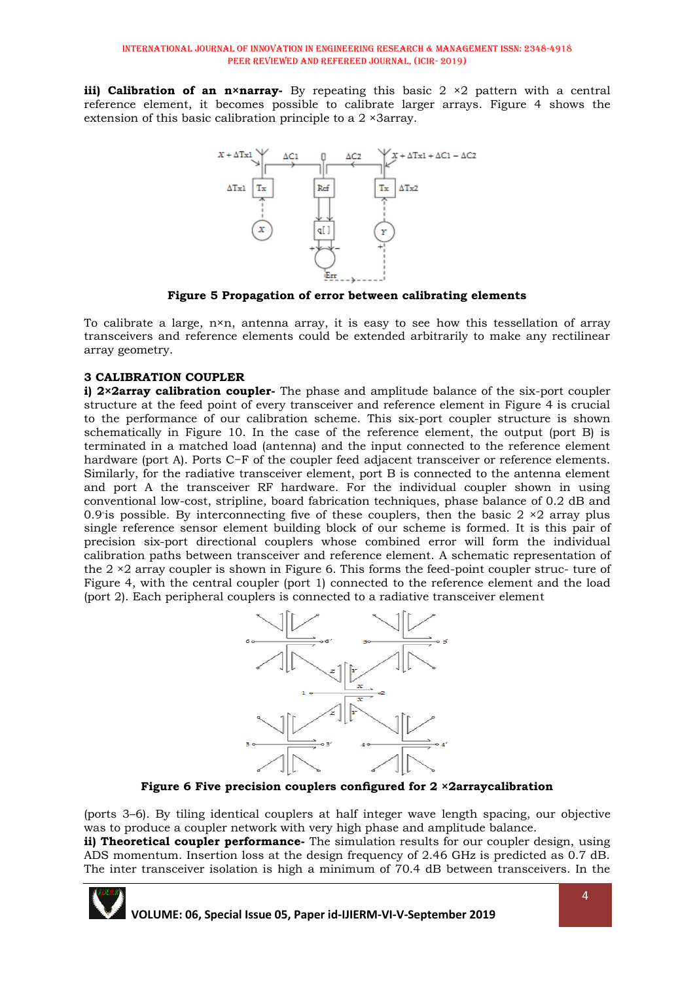**iii) Calibration of an n×narray-** By repeating this basic 2 ×2 pattern with a central reference element, it becomes possible to calibrate larger arrays. Figure 4 shows the extension of this basic calibration principle to a 2 ×3array.



**Figure 5 Propagation of error between calibrating elements**

To calibrate a large, n×n, antenna array, it is easy to see how this tessellation of array transceivers and reference elements could be extended arbitrarily to make any rectilinear array geometry.

# **3 CALIBRATION COUPLER**

**i) 2×2array calibration coupler-** The phase and amplitude balance of the six-port coupler structure at the feed point of every transceiver and reference element in Figure 4 is crucial to the performance of our calibration scheme. This six-port coupler structure is shown schematically in Figure 10. In the case of the reference element, the output (port B) is terminated in a matched load (antenna) and the input connected to the reference element hardware (port A). Ports C−F of the coupler feed adjacent transceiver or reference elements. Similarly, for the radiative transceiver element, port B is connected to the antenna element and port A the transceiver RF hardware. For the individual coupler shown in using conventional low-cost, stripline, board fabrication techniques, phase balance of 0.2 dB and 0.9 is possible. By interconnecting five of these couplers, then the basic  $2 \times 2$  array plus single reference sensor element building block of our scheme is formed. It is this pair of precision six-port directional couplers whose combined error will form the individual calibration paths between transceiver and reference element. A schematic representation of the  $2 \times 2$  array coupler is shown in Figure 6. This forms the feed-point coupler struc- ture of Figure 4, with the central coupler (port 1) connected to the reference element and the load (port 2). Each peripheral couplers is connected to a radiative transceiver element



**Figure 6 Five precision couplers configured for 2 ×2arraycalibration**

(ports 3–6). By tiling identical couplers at half integer wave length spacing, our objective was to produce a coupler network with very high phase and amplitude balance.

**ii) Theoretical coupler performance-** The simulation results for our coupler design, using ADS momentum. Insertion loss at the design frequency of 2.46 GHz is predicted as 0.7 dB. The inter transceiver isolation is high a minimum of 70.4 dB between transceivers. In the

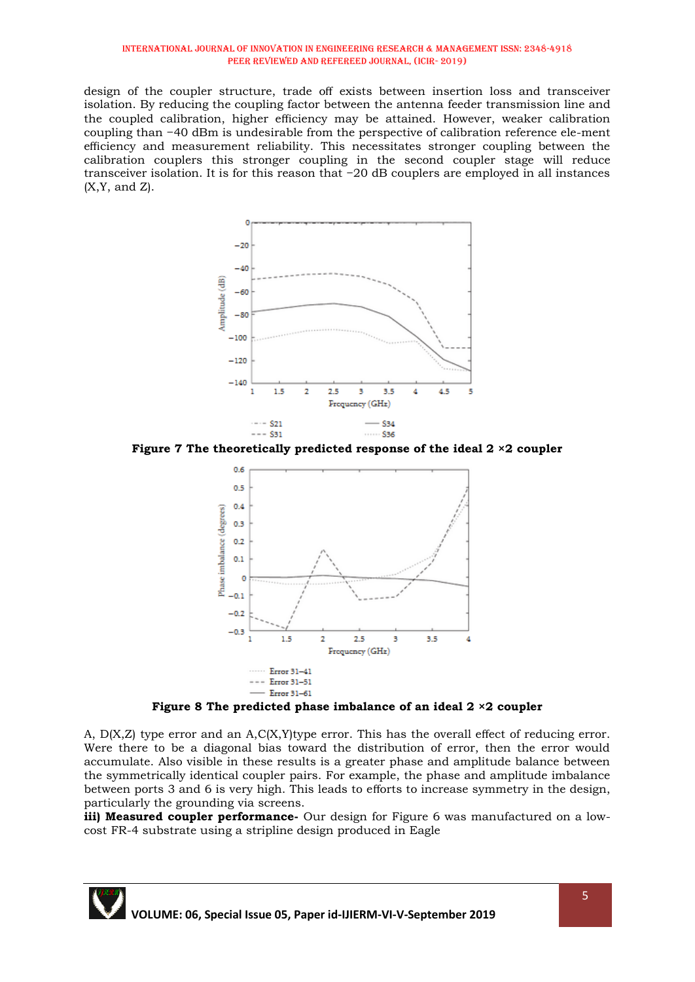design of the coupler structure, trade off exists between insertion loss and transceiver isolation. By reducing the coupling factor between the antenna feeder transmission line and the coupled calibration, higher efficiency may be attained. However, weaker calibration coupling than −40 dBm is undesirable from the perspective of calibration reference ele-ment efficiency and measurement reliability. This necessitates stronger coupling between the calibration couplers this stronger coupling in the second coupler stage will reduce transceiver isolation. It is for this reason that −20 dB couplers are employed in all instances  $(X, Y, \text{ and } Z)$ .



**Figure 7 The theoretically predicted response of the ideal 2 ×2 coupler**



**Figure 8 The predicted phase imbalance of an ideal 2 ×2 coupler**

A, D(X,Z) type error and an A,C(X,Y)type error. This has the overall effect of reducing error. Were there to be a diagonal bias toward the distribution of error, then the error would accumulate. Also visible in these results is a greater phase and amplitude balance between the symmetrically identical coupler pairs. For example, the phase and amplitude imbalance between ports 3 and 6 is very high. This leads to efforts to increase symmetry in the design, particularly the grounding via screens.

**iii) Measured coupler performance**- Our design for Figure 6 was manufactured on a lowcost FR-4 substrate using a stripline design produced in Eagle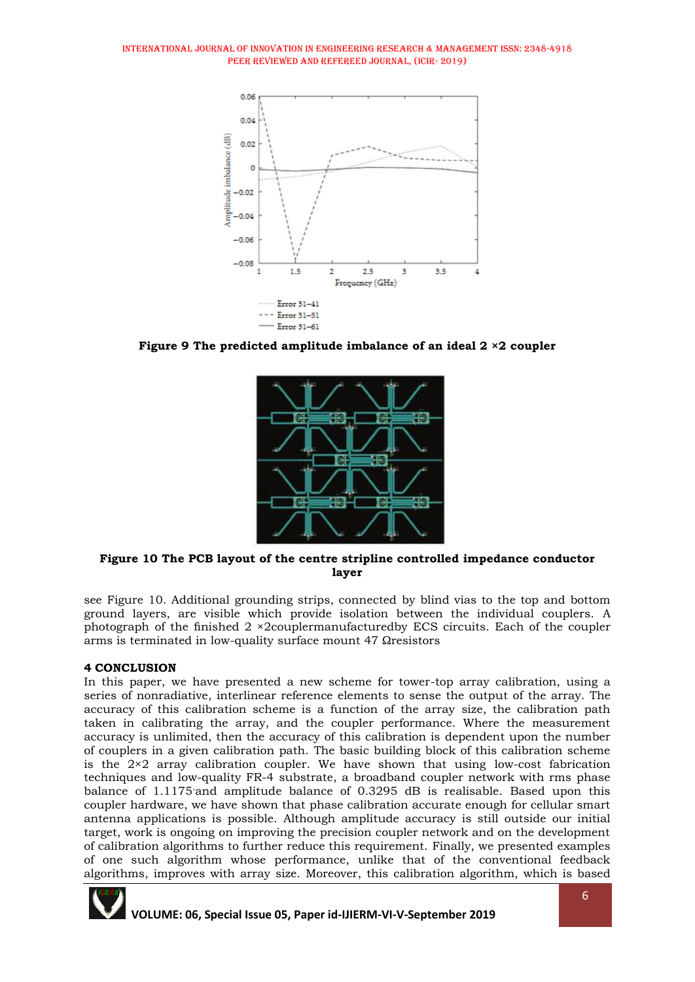

**Figure 9 The predicted amplitude imbalance of an ideal 2 ×2 coupler**



## **Figure 10 The PCB layout of the centre stripline controlled impedance conductor layer**

see Figure 10. Additional grounding strips, connected by blind vias to the top and bottom ground layers, are visible which provide isolation between the individual couplers. A photograph of the finished 2 ×2couplermanufacturedby ECS circuits. Each of the coupler arms is terminated in low-quality surface mount 47 Ωresistors

# **4 CONCLUSION**

In this paper, we have presented a new scheme for tower-top array calibration, using a series of nonradiative, interlinear reference elements to sense the output of the array. The accuracy of this calibration scheme is a function of the array size, the calibration path taken in calibrating the array, and the coupler performance. Where the measurement accuracy is unlimited, then the accuracy of this calibration is dependent upon the number of couplers in a given calibration path. The basic building block of this calibration scheme is the  $2\times 2$  array calibration coupler. We have shown that using low-cost fabrication techniques and low-quality FR-4 substrate, a broadband coupler network with rms phase balance of 1.1175◦and amplitude balance of 0.3295 dB is realisable. Based upon this coupler hardware, we have shown that phase calibration accurate enough for cellular smart antenna applications is possible. Although amplitude accuracy is still outside our initial target, work is ongoing on improving the precision coupler network and on the development of calibration algorithms to further reduce this requirement. Finally, we presented examples of one such algorithm whose performance, unlike that of the conventional feedback algorithms, improves with array size. Moreover, this calibration algorithm, which is based